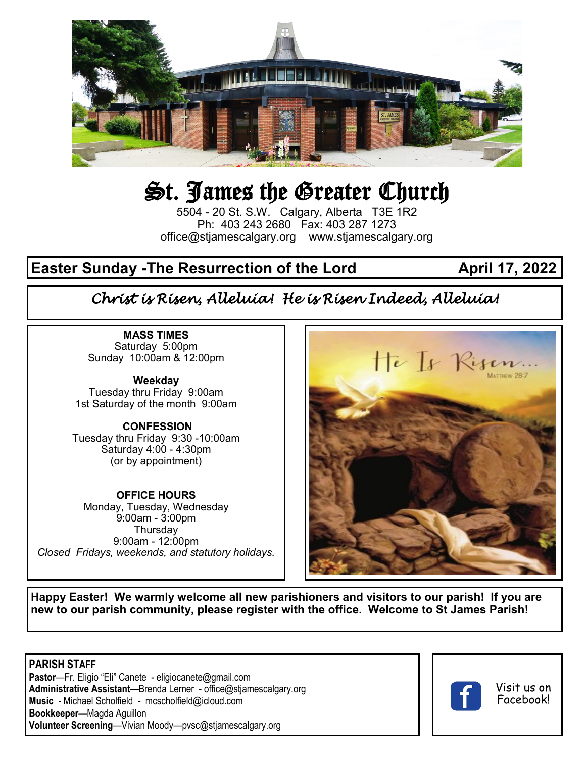

# St. James the Greater Church

5504 - 20 St. S.W. Calgary, Alberta T3E 1R2 Ph: 403 243 2680 Fax: 403 287 1273 office@stjamescalgary.org www.stjamescalgary.org

# **Easter Sunday -The Resurrection of the Lord April 17, 2022**

# *Christ is Risen, Alleluia! He is Risen Indeed, Alleluia!*

**MASS TIMES** Saturday 5:00pm Sunday 10:00am & 12:00pm

**Weekday** Tuesday thru Friday 9:00am 1st Saturday of the month 9:00am

#### **CONFESSION**

Tuesday thru Friday 9:30 -10:00am Saturday 4:00 - 4:30pm (or by appointment)

**OFFICE HOURS** Monday, Tuesday, Wednesday 9:00am - 3:00pm **Thursdav** 9:00am - 12:00pm *Closed Fridays, weekends, and statutory holidays.*



**Happy Easter! We warmly welcome all new parishioners and visitors to our parish! If you are new to our parish community, please register with the office. Welcome to St James Parish!**

**PARISH STAFF Pastor**—Fr. Eligio "Eli" Canete - eligiocanete@gmail.com **Administrative Assistant**—Brenda Lerner - office@stjamescalgary.org **Music -** Michael Scholfield - mcscholfield@icloud.com **Bookkeeper—**Magda Aguillon **Volunteer Screening**—Vivian Moody—pvsc@stjamescalgary.org



#### Visit us on Facebook!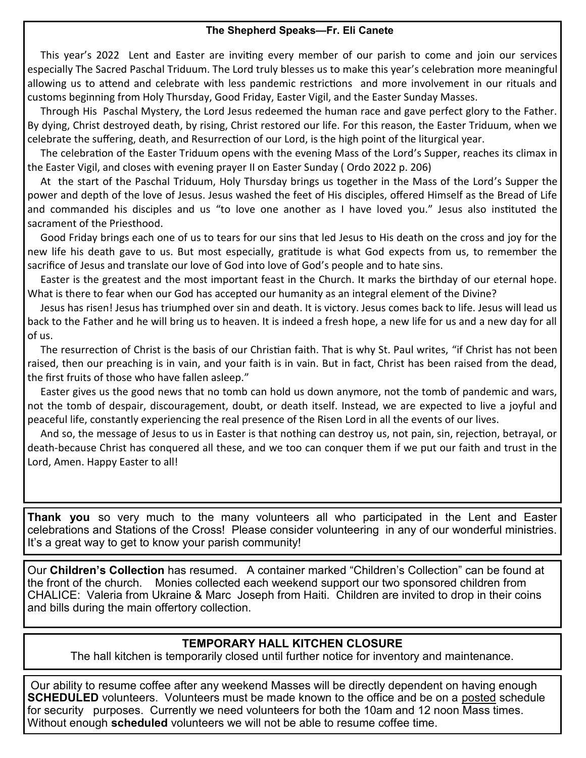#### **The Shepherd Speaks—Fr. Eli Canete**

 This year's 2022 Lent and Easter are inviting every member of our parish to come and join our services especially The Sacred Paschal Triduum. The Lord truly blesses us to make this year's celebration more meaningful allowing us to attend and celebrate with less pandemic restrictions and more involvement in our rituals and customs beginning from Holy Thursday, Good Friday, Easter Vigil, and the Easter Sunday Masses.

 Through His Paschal Mystery, the Lord Jesus redeemed the human race and gave perfect glory to the Father. By dying, Christ destroyed death, by rising, Christ restored our life. For this reason, the Easter Triduum, when we celebrate the suffering, death, and Resurrection of our Lord, is the high point of the liturgical year.

 The celebration of the Easter Triduum opens with the evening Mass of the Lord's Supper, reaches its climax in the Easter Vigil, and closes with evening prayer II on Easter Sunday ( Ordo 2022 p. 206)

 At the start of the Paschal Triduum, Holy Thursday brings us together in the Mass of the Lord's Supper the power and depth of the love of Jesus. Jesus washed the feet of His disciples, offered Himself as the Bread of Life and commanded his disciples and us "to love one another as I have loved you." Jesus also instituted the sacrament of the Priesthood.

 Good Friday brings each one of us to tears for our sins that led Jesus to His death on the cross and joy for the new life his death gave to us. But most especially, gratitude is what God expects from us, to remember the sacrifice of Jesus and translate our love of God into love of God's people and to hate sins.

 Easter is the greatest and the most important feast in the Church. It marks the birthday of our eternal hope. What is there to fear when our God has accepted our humanity as an integral element of the Divine?

 Jesus has risen! Jesus has triumphed over sin and death. It is victory. Jesus comes back to life. Jesus will lead us back to the Father and he will bring us to heaven. It is indeed a fresh hope, a new life for us and a new day for all of us.

 The resurrection of Christ is the basis of our Christian faith. That is why St. Paul writes, "if Christ has not been raised, then our preaching is in vain, and your faith is in vain. But in fact, Christ has been raised from the dead, the first fruits of those who have fallen asleep."

 Easter gives us the good news that no tomb can hold us down anymore, not the tomb of pandemic and wars, not the tomb of despair, discouragement, doubt, or death itself. Instead, we are expected to live a joyful and peaceful life, constantly experiencing the real presence of the Risen Lord in all the events of our lives.

 And so, the message of Jesus to us in Easter is that nothing can destroy us, not pain, sin, rejection, betrayal, or death-because Christ has conquered all these, and we too can conquer them if we put our faith and trust in the Lord, Amen. Happy Easter to all!

**Thank you** so very much to the many volunteers all who participated in the Lent and Easter celebrations and Stations of the Cross! Please consider volunteering in any of our wonderful ministries. It's a great way to get to know your parish community!

Our **Children's Collection** has resumed. A container marked "Children's Collection" can be found at the front of the church. Monies collected each weekend support our two sponsored children from CHALICE: Valeria from Ukraine & Marc Joseph from Haiti. Children are invited to drop in their coins and bills during the main offertory collection.

#### **TEMPORARY HALL KITCHEN CLOSURE**

The hall kitchen is temporarily closed until further notice for inventory and maintenance.

Our ability to resume coffee after any weekend Masses will be directly dependent on having enough **SCHEDULED** volunteers. Volunteers must be made known to the office and be on a posted schedule for security purposes. Currently we need volunteers for both the 10am and 12 noon Mass times. Without enough **scheduled** volunteers we will not be able to resume coffee time.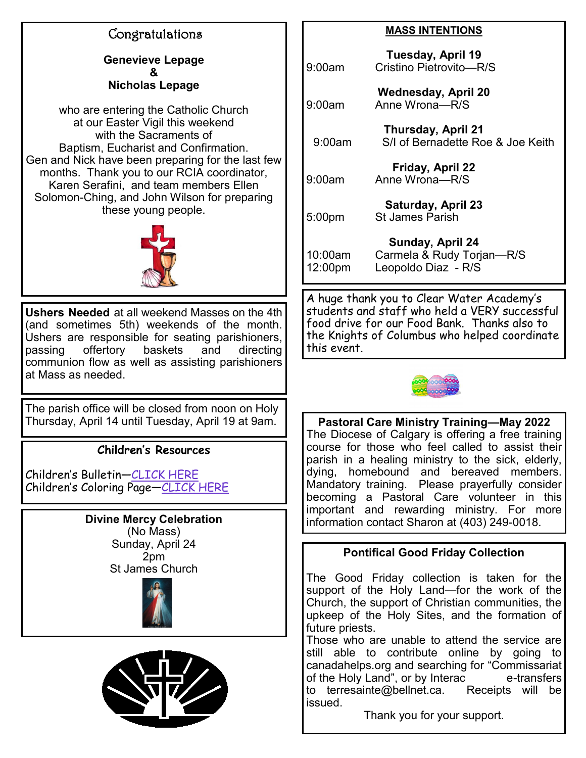# Congratulations

**Genevieve Lepage & Nicholas Lepage** 

who are entering the Catholic Church at our Easter Vigil this weekend with the Sacraments of Baptism, Eucharist and Confirmation. Gen and Nick have been preparing for the last few months. Thank you to our RCIA coordinator, Karen Serafini, and team members Ellen Solomon-Ching, and John Wilson for preparing these young people.



**Ushers Needed** at all weekend Masses on the 4th (and sometimes 5th) weekends of the month. Ushers are responsible for seating parishioners, passing offertory baskets and directing communion flow as well as assisting parishioners at Mass as needed.

The parish office will be closed from noon on Holy Thursday, April 14 until Tuesday, April 19 at 9am.

## **Children's Resources**

Children's Bulletin[—CLICK HERE](https://mcusercontent.com/b94c6c43263afb74033548543/files/863fbfbe-3672-c37a-a37b-b37c98a9ebad/the_kids_bulletin_easter.01.pdf) Children's Coloring Page—[CLICK HERE](https://mcusercontent.com/b94c6c43263afb74033548543/files/881885a9-e7da-814f-d336-cc46d20f85a2/Easter_Sunday_Year_C_activity_sheet.pdf)

# **Divine Mercy Celebration**

(No Mass) Sunday, April 24 2pm St James Church





#### **MASS INTENTIONS**

**Tuesday, April 19** 9:00am Cristino Pietrovito—R/S **Wednesday, April 20** 9:00am Anne Wrona—R/S **Thursday, April 21** 9:00am S/I of Bernadette Roe & Joe Keith **Friday, April 22** 9:00am Anne Wrona—R/S **Saturday, April 23** 5:00pm St James Parish **Sunday, April 24** 10:00am Carmela & Rudy Torjan—R/S 12:00pm Leopoldo Diaz - R/S

A huge thank you to Clear Water Academy's students and staff who held a VERY successful food drive for our Food Bank. Thanks also to the Knights of Columbus who helped coordinate this event.



**Pastoral Care Ministry Training—May 2022** The Diocese of Calgary is offering a free training course for those who feel called to assist their parish in a healing ministry to the sick, elderly, dying, homebound and bereaved members. Mandatory training. Please prayerfully consider becoming a Pastoral Care volunteer in this important and rewarding ministry. For more information contact Sharon at (403) 249-0018.

## **Pontifical Good Friday Collection**

The Good Friday collection is taken for the support of the Holy Land—for the work of the Church, the support of Christian communities, the upkeep of the Holy Sites, and the formation of future priests.

Those who are unable to attend the service are still able to contribute online by going to canadahelps.org and searching for "Commissariat of the Holy Land", or by Interac e-transfers to terresainte@bellnet.ca. Receipts will be issued.

Thank you for your support.